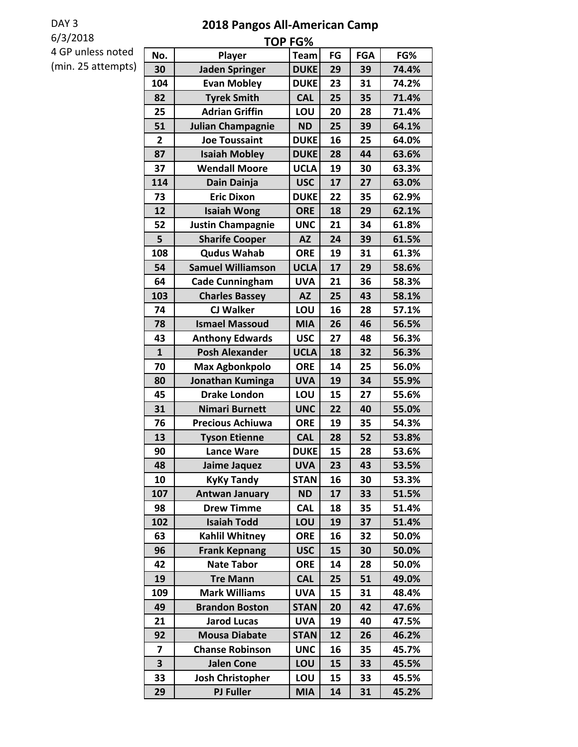## DAY 3

6/3/2018

## **2018 Pangos All-American Camp**

4 GP unless noted (min. 25 attempts)

| <b>TOP FG%</b> |                          |             |    |            |       |
|----------------|--------------------------|-------------|----|------------|-------|
| No.            | Player                   | <b>Team</b> | FG | <b>FGA</b> | FG%   |
| 30             | <b>Jaden Springer</b>    | <b>DUKE</b> | 29 | 39         | 74.4% |
| 104            | <b>Evan Mobley</b>       | <b>DUKE</b> | 23 | 31         | 74.2% |
| 82             | <b>Tyrek Smith</b>       | <b>CAL</b>  | 25 | 35         | 71.4% |
| 25             | <b>Adrian Griffin</b>    | LOU         | 20 | 28         | 71.4% |
| 51             | <b>Julian Champagnie</b> | <b>ND</b>   | 25 | 39         | 64.1% |
| $\overline{2}$ | <b>Joe Toussaint</b>     | <b>DUKE</b> | 16 | 25         | 64.0% |
| 87             | <b>Isaiah Mobley</b>     | <b>DUKE</b> | 28 | 44         | 63.6% |
| 37             | <b>Wendall Moore</b>     | <b>UCLA</b> | 19 | 30         | 63.3% |
| 114            | Dain Dainja              | <b>USC</b>  | 17 | 27         | 63.0% |
| 73             | <b>Eric Dixon</b>        | <b>DUKE</b> | 22 | 35         | 62.9% |
| 12             | <b>Isaiah Wong</b>       | <b>ORE</b>  | 18 | 29         | 62.1% |
| 52             | <b>Justin Champagnie</b> | <b>UNC</b>  | 21 | 34         | 61.8% |
| 5              | <b>Sharife Cooper</b>    | <b>AZ</b>   | 24 | 39         | 61.5% |
| 108            | <b>Qudus Wahab</b>       | <b>ORE</b>  | 19 | 31         | 61.3% |
| 54             | <b>Samuel Williamson</b> | <b>UCLA</b> | 17 | 29         | 58.6% |
| 64             | <b>Cade Cunningham</b>   | <b>UVA</b>  | 21 | 36         | 58.3% |
| 103            | <b>Charles Bassey</b>    | <b>AZ</b>   | 25 | 43         | 58.1% |
| 74             | <b>CJ Walker</b>         | LOU         | 16 | 28         | 57.1% |
| 78             | <b>Ismael Massoud</b>    | <b>MIA</b>  | 26 | 46         | 56.5% |
| 43             | <b>Anthony Edwards</b>   | <b>USC</b>  | 27 | 48         | 56.3% |
| $\mathbf{1}$   | <b>Posh Alexander</b>    | <b>UCLA</b> | 18 | 32         | 56.3% |
| 70             | <b>Max Agbonkpolo</b>    | <b>ORE</b>  | 14 | 25         | 56.0% |
| 80             | Jonathan Kuminga         | <b>UVA</b>  | 19 | 34         | 55.9% |
| 45             | <b>Drake London</b>      | LOU         | 15 | 27         | 55.6% |
| 31             | Nimari Burnett           | <b>UNC</b>  | 22 | 40         | 55.0% |
| 76             | <b>Precious Achiuwa</b>  | <b>ORE</b>  | 19 | 35         | 54.3% |
| 13             | <b>Tyson Etienne</b>     | <b>CAL</b>  | 28 | 52         | 53.8% |
| 90             | <b>Lance Ware</b>        | <b>DUKE</b> | 15 | 28         | 53.6% |
| 48             | Jaime Jaquez             | <b>UVA</b>  | 23 | 43         | 53.5% |
| 10             | <b>KyKy Tandy</b>        | <b>STAN</b> | 16 | 30         | 53.3% |
| 107            | <b>Antwan January</b>    | <b>ND</b>   | 17 | 33         | 51.5% |
| 98             | <b>Drew Timme</b>        | <b>CAL</b>  | 18 | 35         | 51.4% |
| 102            | <b>Isaiah Todd</b>       | LOU         | 19 | 37         | 51.4% |
| 63             | <b>Kahlil Whitney</b>    | <b>ORE</b>  | 16 | 32         | 50.0% |
| 96             | <b>Frank Kepnang</b>     | <b>USC</b>  | 15 | 30         | 50.0% |
| 42             | <b>Nate Tabor</b>        | <b>ORE</b>  | 14 | 28         | 50.0% |
| 19             | <b>Tre Mann</b>          | <b>CAL</b>  | 25 | 51         | 49.0% |
| 109            | <b>Mark Williams</b>     | <b>UVA</b>  | 15 | 31         | 48.4% |
| 49             | <b>Brandon Boston</b>    | <b>STAN</b> | 20 | 42         | 47.6% |
| 21             | <b>Jarod Lucas</b>       | <b>UVA</b>  | 19 | 40         | 47.5% |
| 92             | <b>Mousa Diabate</b>     | <b>STAN</b> | 12 | 26         | 46.2% |
| 7              | <b>Chanse Robinson</b>   | <b>UNC</b>  | 16 | 35         | 45.7% |
| 3              | <b>Jalen Cone</b>        | LOU         | 15 | 33         | 45.5% |
| 33             | <b>Josh Christopher</b>  | LOU         | 15 | 33         | 45.5% |
| 29             | <b>PJ Fuller</b>         | <b>MIA</b>  | 14 | 31         | 45.2% |